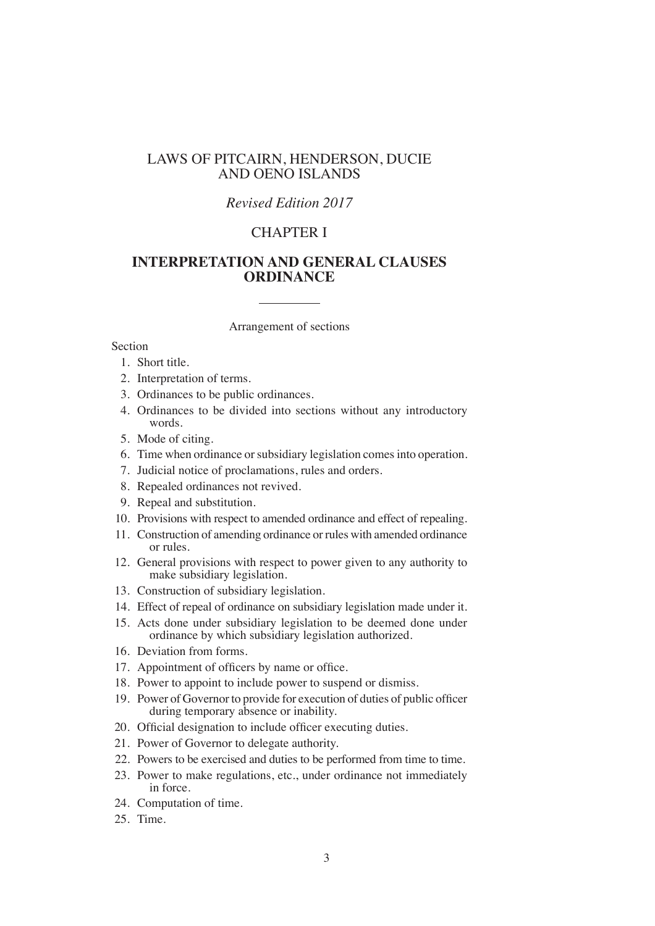## LAWS OF PITCAIRN, HENDERSON, DUCIE AND OENO ISLANDS

# *Revised Edition 2017*

# CHAPTER I

# **INTERPRETATION AND GENERAL CLAUSES ORDINANCE**

Arrangement of sections

### Section

- 1. Short title.
- 2. Interpretation of terms.
- 3. Ordinances to be public ordinances.
- 4. Ordinances to be divided into sections without any introductory words.
- 5. Mode of citing.
- 6. Time when ordinance or subsidiary legislation comes into operation.
- 7. Judicial notice of proclamations, rules and orders.
- 8. Repealed ordinances not revived.
- 9. Repeal and substitution.
- 10. Provisions with respect to amended ordinance and effect of repealing.
- 11. Construction of amending ordinance or rules with amended ordinance or rules.
- 12. General provisions with respect to power given to any authority to make subsidiary legislation.
- 13. Construction of subsidiary legislation.
- 14. Effect of repeal of ordinance on subsidiary legislation made under it.
- 15. Acts done under subsidiary legislation to be deemed done under ordinance by which subsidiary legislation authorized.
- 16. Deviation from forms.
- 17. Appointment of officers by name or office.
- 18. Power to appoint to include power to suspend or dismiss.
- 19. Power of Governor to provide for execution of duties of public officer during temporary absence or inability.
- 20. Official designation to include officer executing duties.
- 21. Power of Governor to delegate authority.
- 22. Powers to be exercised and duties to be performed from time to time.
- 23. Power to make regulations, etc., under ordinance not immediately in force.
- 24. Computation of time.
- 25. Time.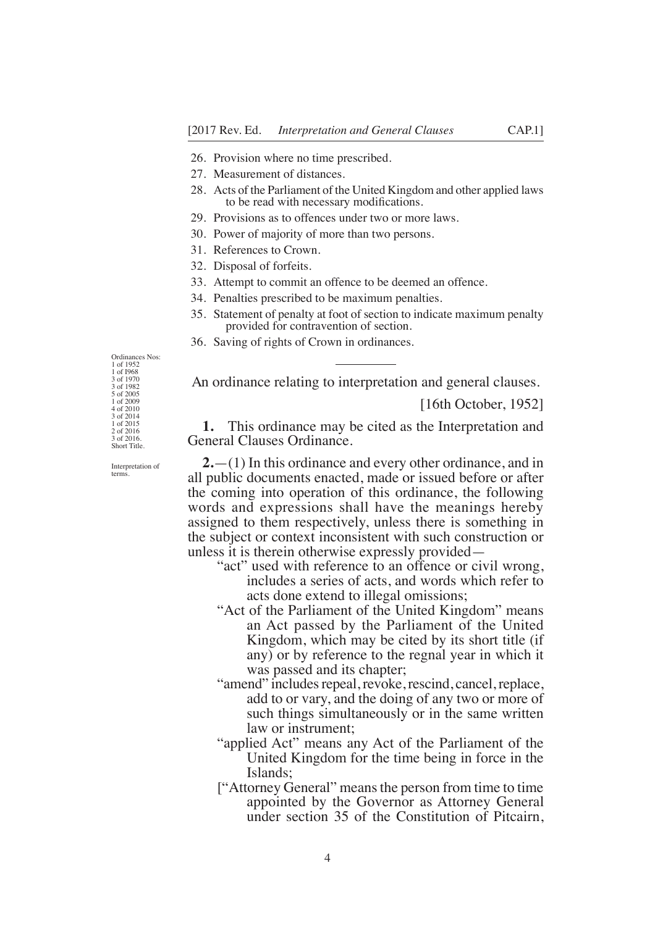- 26. Provision where no time prescribed.
- 27. Measurement of distances.
- 28. Acts of the Parliament of the United Kingdom and other applied laws to be read with necessary modifcations.
- 29. Provisions as to offences under two or more laws.
- 30. Power of majority of more than two persons.
- 31. References to Crown.
- 32. Disposal of forfeits.
- 33. Attempt to commit an offence to be deemed an offence.
- 34. Penalties prescribed to be maximum penalties.
- 35. Statement of penalty at foot of section to indicate maximum penalty provided for contravention of section.
- 36. Saving of rights of Crown in ordinances.

An ordinance relating to interpretation and general clauses.

[16th October, 1952]

**1.** This ordinance may be cited as the Interpretation and General Clauses Ordinance.

**2.**—(1) In this ordinance and every other ordinance, and in all public documents enacted, made or issued before or after the coming into operation of this ordinance, the following words and expressions shall have the meanings hereby assigned to them respectively, unless there is something in the subject or context inconsistent with such construction or unless it is therein otherwise expressly provided—

- "act" used with reference to an offence or civil wrong, includes a series of acts, and words which refer to acts done extend to illegal omissions;
- "Act of the Parliament of the United Kingdom" means an Act passed by the Parliament of the United Kingdom, which may be cited by its short title (if any) or by reference to the regnal year in which it was passed and its chapter;
- "amend" includes repeal, revoke, rescind, cancel, replace, add to or vary, and the doing of any two or more of such things simultaneously or in the same written law or instrument;
- "applied Act" means any Act of the Parliament of the United Kingdom for the time being in force in the Islands;
- ["Attorney General" means the person from time to time appointed by the Governor as Attorney General under section 35 of the Constitution of Pitcairn,

1 of 1952 1 of I968 3 of 1970 3 of 1982 5 of 2005 1 of 2009 4 of 2010 3 of 2014 1 of 2015 2 of 2016 3 of 2016. Short Title.

Ordinances Nos:

Interpretation of terms.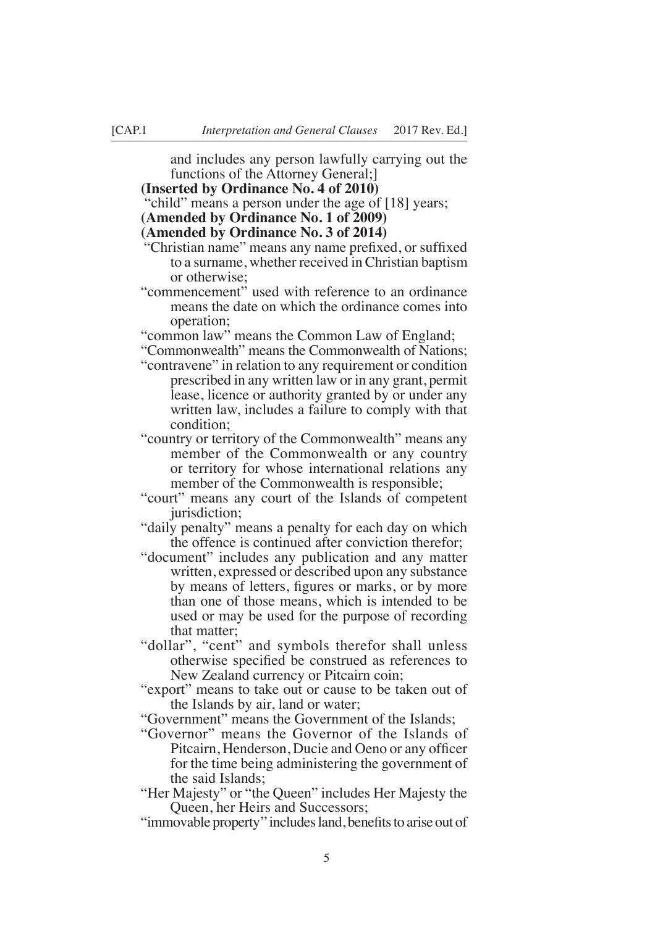and includes any person lawfully carrying out the functions of the Attorney General;]

#### **(Inserted by Ordinance No. 4 of 2010)**

"child" means a person under the age of [18] years;

#### **(Amended by Ordinance No. 1 of 2009)**

### **(Amended by Ordinance No. 3 of 2014)**

- "Christian name" means any name prefxed, or suffxed to a surname, whether received in Christian baptism or otherwise;
- "commencement" used with reference to an ordinance means the date on which the ordinance comes into operation;

"common law" means the Common Law of England;

- "Commonwealth" means the Commonwealth of Nations;
- "contravene" in relation to any requirement or condition prescribed in any written law or in any grant, permit lease, licence or authority granted by or under any written law, includes a failure to comply with that condition;
- "country or territory of the Commonwealth" means any member of the Commonwealth or any country or territory for whose international relations any member of the Commonwealth is responsible;
- "court" means any court of the Islands of competent jurisdiction;
- "daily penalty" means a penalty for each day on which the offence is continued after conviction therefor;
- "document" includes any publication and any matter written, expressed or described upon any substance by means of letters, fgures or marks, or by more than one of those means, which is intended to be used or may be used for the purpose of recording that matter;
- "dollar", "cent" and symbols therefor shall unless otherwise specifed be construed as references to New Zealand currency or Pitcairn coin;
- "export" means to take out or cause to be taken out of the Islands by air, land or water;
- "Government" means the Government of the Islands;
- "Governor" means the Governor of the Islands of Pitcairn, Henderson, Ducie and Oeno or any officer for the time being administering the government of the said Islands;
- "Her Majesty" or "the Queen" includes Her Majesty the Queen, her Heirs and Successors;
- "immovable property" includes land, benefits to arise out of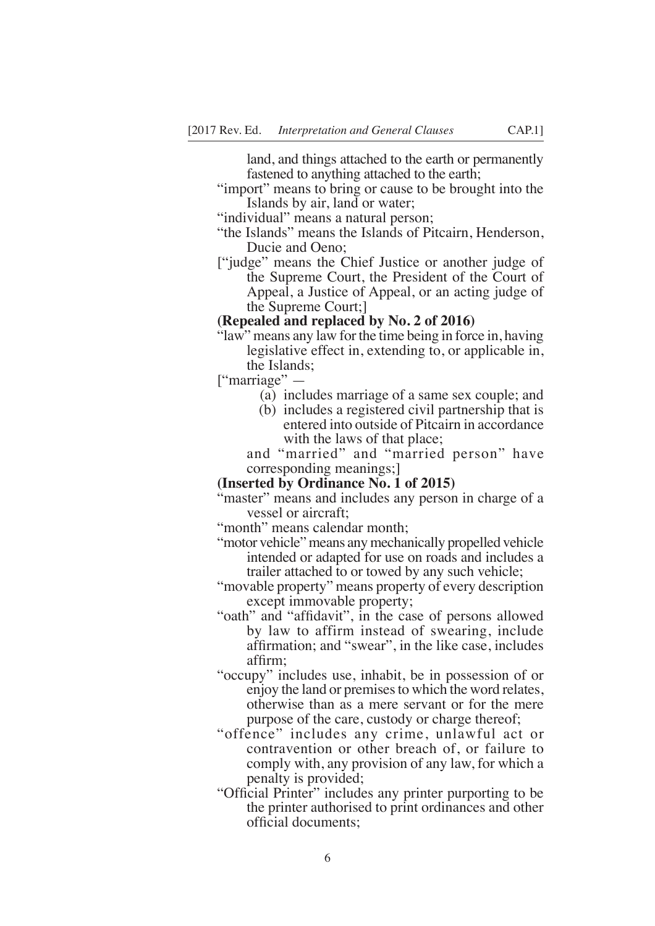land, and things attached to the earth or permanently fastened to anything attached to the earth;

"import" means to bring or cause to be brought into the Islands by air, land or water;

"individual" means a natural person;

- "the Islands" means the Islands of Pitcairn, Henderson, Ducie and Oeno;
- ["judge" means the Chief Justice or another judge of the Supreme Court, the President of the Court of Appeal, a Justice of Appeal, or an acting judge of the Supreme Court;]

### **(Repealed and replaced by No. 2 of 2016)**

"law" means any law for the time being in force in, having legislative effect in, extending to, or applicable in, the Islands;

["marriage" —

- (a) includes marriage of a same sex couple; and
- (b) includes a registered civil partnership that is entered into outside of Pitcairn in accordance with the laws of that place:

and "married" and "married person" have corresponding meanings;]

**(Inserted by Ordinance No. 1 of 2015)**

"master" means and includes any person in charge of a vessel or aircraft;

"month" means calendar month;

"motor vehicle" means any mechanically propelled vehicle intended or adapted for use on roads and includes a trailer attached to or towed by any such vehicle;

"movable property" means property of every description except immovable property;

- "oath" and "affdavit", in the case of persons allowed by law to affirm instead of swearing, include affrmation; and "swear", in the like case, includes affrm;
- "occupy" includes use, inhabit, be in possession of or enjoy the land or premises to which the word relates, otherwise than as a mere servant or for the mere purpose of the care, custody or charge thereof;
- "offence" includes any crime, unlawful act or contravention or other breach of, or failure to comply with, any provision of any law, for which a penalty is provided;
- "Official Printer" includes any printer purporting to be the printer authorised to print ordinances and other official documents;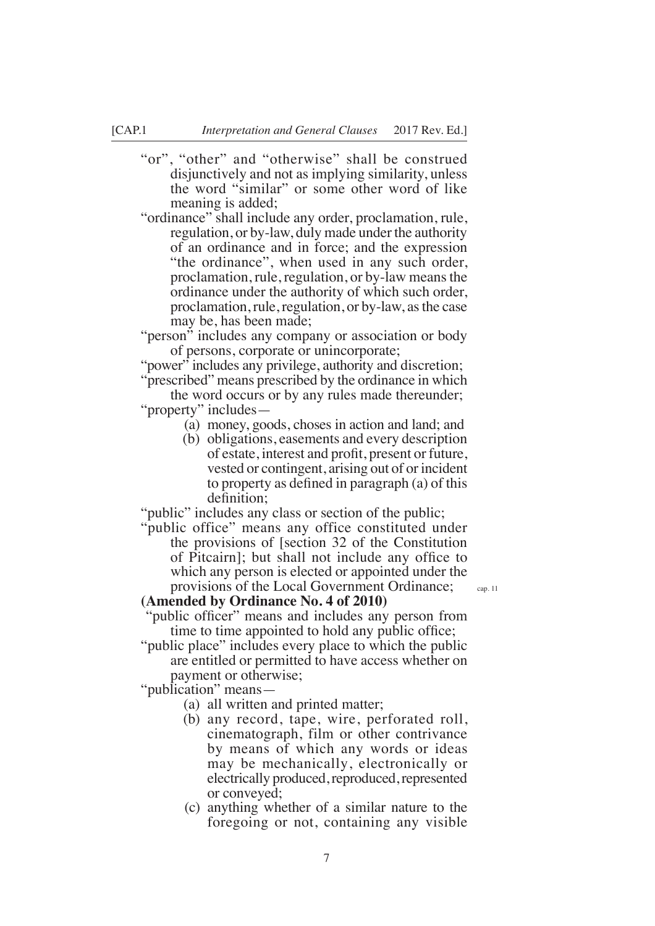"or", "other" and "otherwise" shall be construed disjunctively and not as implying similarity, unless the word "similar" or some other word of like meaning is added;

"ordinance" shall include any order, proclamation, rule, regulation, or by-law, duly made under the authority of an ordinance and in force; and the expression "the ordinance", when used in any such order, proclamation, rule, regulation, or by-law means the ordinance under the authority of which such order, proclamation, rule, regulation, or by-law, as the case may be, has been made;

"person" includes any company or association or body of persons, corporate or unincorporate;

"power" includes any privilege, authority and discretion; "prescribed" means prescribed by the ordinance in which

the word occurs or by any rules made thereunder; "property" includes—

- (a) money, goods, choses in action and land; and
- (b) obligations, easements and every description of estate, interest and proft, present or future, vested or contingent, arising out of or incident to property as defned in paragraph (a) of this definition;

"public" includes any class or section of the public;

"public office" means any office constituted under the provisions of [section 32 of the Constitution of Pitcairn]; but shall not include any office to which any person is elected or appointed under the provisions of the Local Government Ordinance; **(Amended by Ordinance No. 4 of 2010)**

cap. 11

'public officer'' means and includes any person from time to time appointed to hold any public office;

"public place" includes every place to which the public are entitled or permitted to have access whether on

payment or otherwise;

"publication" means—

- (a) all written and printed matter;
- (b) any record, tape, wire, perforated roll, cinematograph, film or other contrivance by means of which any words or ideas may be mechanically, electronically or electrically produced, reproduced, represented or conveyed;
- (c) anything whether of a similar nature to the foregoing or not, containing any visible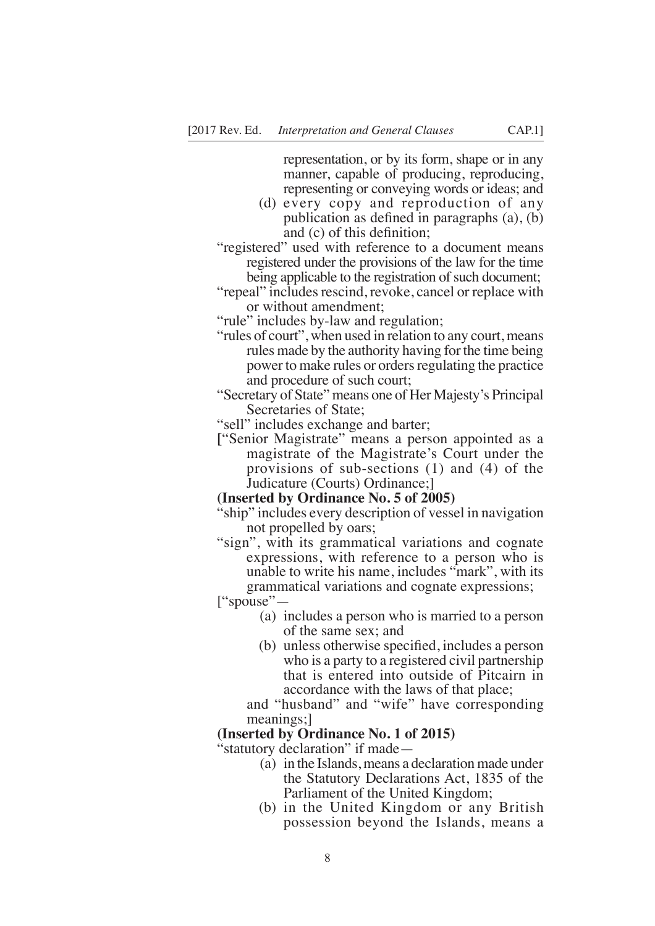representation, or by its form, shape or in any manner, capable of producing, reproducing, representing or conveying words or ideas; and

- (d) every copy and reproduction of any publication as defned in paragraphs (a), (b) and (c) of this defnition;
- "registered" used with reference to a document means registered under the provisions of the law for the time being applicable to the registration of such document;
- "repeal" includes rescind, revoke, cancel or replace with or without amendment;

"rule" includes by-law and regulation;

- "rules of court", when used in relation to any court, means rules made by the authority having for the time being power to make rules or orders regulating the practice and procedure of such court;
- "Secretary of State" means one of Her Majesty's Principal Secretaries of State;
- "sell" includes exchange and barter;
- **[**"Senior Magistrate" means a person appointed as a magistrate of the Magistrate's Court under the provisions of sub-sections (1) and (4) of the Judicature (Courts) Ordinance;]

#### **(Inserted by Ordinance No. 5 of 2005)**

- "ship" includes every description of vessel in navigation not propelled by oars;
- "sign", with its grammatical variations and cognate expressions, with reference to a person who is unable to write his name, includes "mark", with its grammatical variations and cognate expressions;

["spouse"—

- (a) includes a person who is married to a person of the same sex; and
- (b) unless otherwise specifed, includes a person who is a party to a registered civil partnership that is entered into outside of Pitcairn in accordance with the laws of that place;

and "husband" and "wife" have corresponding meanings;]

#### **(Inserted by Ordinance No. 1 of 2015)**

"statutory declaration" if made—

- (a) in the Islands, means a declaration made under the Statutory Declarations Act, 1835 of the Parliament of the United Kingdom;
- (b) in the United Kingdom or any British possession beyond the Islands, means a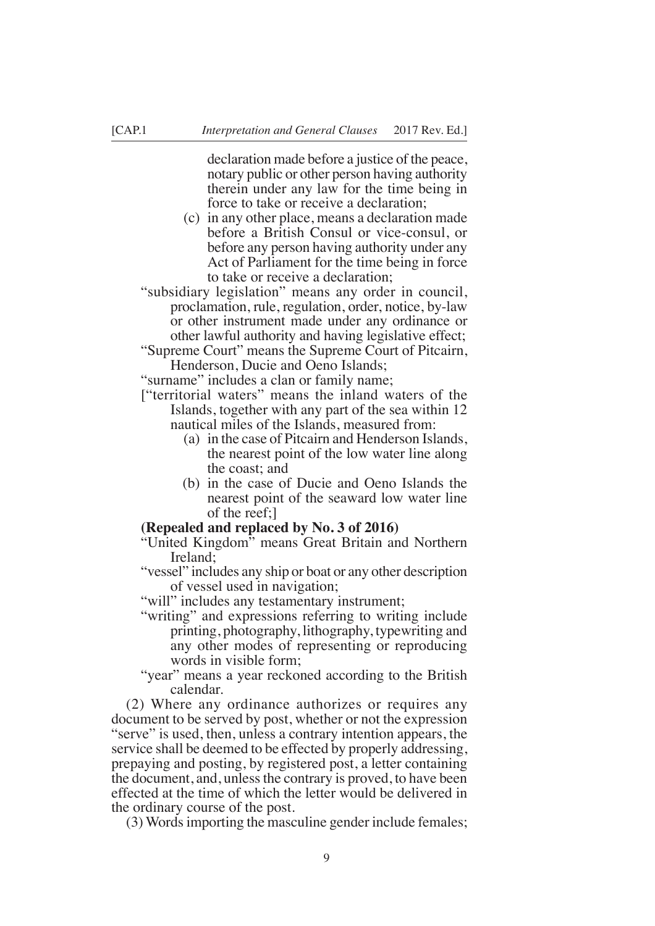declaration made before a justice of the peace, notary public or other person having authority therein under any law for the time being in force to take or receive a declaration;

- (c) in any other place, means a declaration made before a British Consul or vice-consul, or before any person having authority under any Act of Parliament for the time being in force to take or receive a declaration;
- "subsidiary legislation" means any order in council, proclamation, rule, regulation, order, notice, by-law or other instrument made under any ordinance or other lawful authority and having legislative effect;
- "Supreme Court" means the Supreme Court of Pitcairn, Henderson, Ducie and Oeno Islands;

"surname" includes a clan or family name;

- ["territorial waters" means the inland waters of the Islands, together with any part of the sea within 12 nautical miles of the Islands, measured from:
	- (a) in the case of Pitcairn and Henderson Islands, the nearest point of the low water line along the coast; and
	- (b) in the case of Ducie and Oeno Islands the nearest point of the seaward low water line of the reef;]

### **(Repealed and replaced by No. 3 of 2016)**

- "United Kingdom" means Great Britain and Northern Ireland;
- "vessel" includes any ship or boat or any other description of vessel used in navigation;
- "will" includes any testamentary instrument;
- "writing" and expressions referring to writing include printing, photography, lithography, typewriting and any other modes of representing or reproducing words in visible form;
- "year" means a year reckoned according to the British calendar.

(2) Where any ordinance authorizes or requires any document to be served by post, whether or not the expression "serve" is used, then, unless a contrary intention appears, the service shall be deemed to be effected by properly addressing, prepaying and posting, by registered post, a letter containing the document, and, unless the contrary is proved, to have been effected at the time of which the letter would be delivered in the ordinary course of the post.

(3) Words importing the masculine gender include females;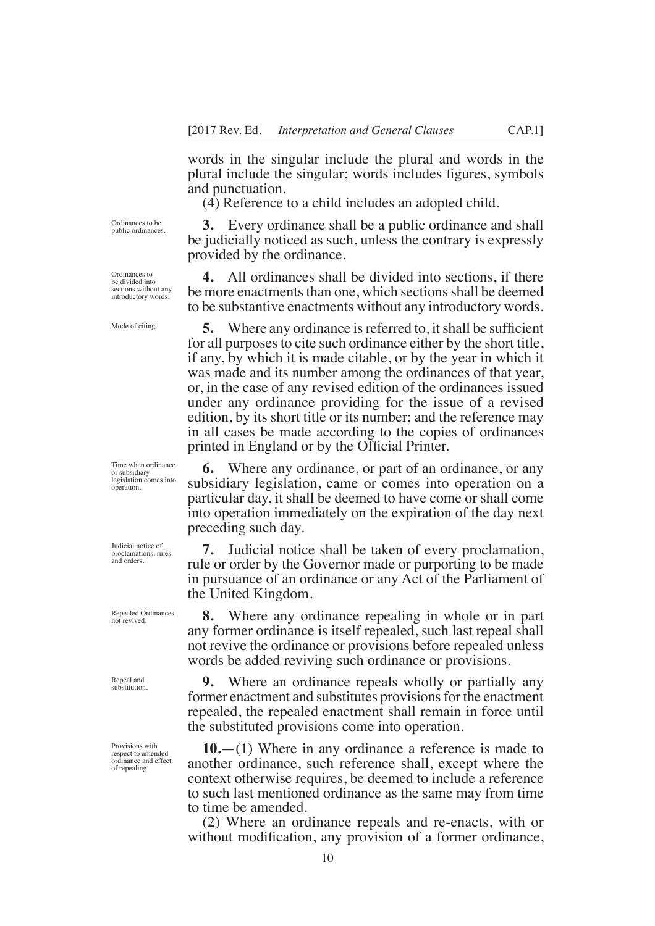words in the singular include the plural and words in the plural include the singular; words includes fgures, symbols and punctuation.

(4) Reference to a child includes an adopted child.

Ordinances to be public ordinances.

Ordinances to be divided into sections without any introductory words.

Mode of citing.

Time when ordinance or subsidiary legislation comes into operation.

Judicial notice of proclamations, rules and orders.

Repealed Ordinances not revived.

Repeal and substitution.

Provisions with respect to amended ordinance and effect of repealing.

**3.** Every ordinance shall be a public ordinance and shall be judicially noticed as such, unless the contrary is expressly provided by the ordinance.

**4.** All ordinances shall be divided into sections, if there be more enactments than one, which sections shall be deemed to be substantive enactments without any introductory words.

**5.** Where any ordinance is referred to, it shall be sufficient for all purposes to cite such ordinance either by the short title, if any, by which it is made citable, or by the year in which it was made and its number among the ordinances of that year, or, in the case of any revised edition of the ordinances issued under any ordinance providing for the issue of a revised edition, by its short title or its number; and the reference may in all cases be made according to the copies of ordinances printed in England or by the Official Printer.

**6.** Where any ordinance, or part of an ordinance, or any subsidiary legislation, came or comes into operation on a particular day, it shall be deemed to have come or shall come into operation immediately on the expiration of the day next preceding such day.

**7.** Judicial notice shall be taken of every proclamation, rule or order by the Governor made or purporting to be made in pursuance of an ordinance or any Act of the Parliament of the United Kingdom.

**8.** Where any ordinance repealing in whole or in part any former ordinance is itself repealed, such last repeal shall not revive the ordinance or provisions before repealed unless words be added reviving such ordinance or provisions.

**9.** Where an ordinance repeals wholly or partially any former enactment and substitutes provisions for the enactment repealed, the repealed enactment shall remain in force until the substituted provisions come into operation.

**10.**—(1) Where in any ordinance a reference is made to another ordinance, such reference shall, except where the context otherwise requires, be deemed to include a reference to such last mentioned ordinance as the same may from time to time be amended.

(2) Where an ordinance repeals and re-enacts, with or without modifcation, any provision of a former ordinance,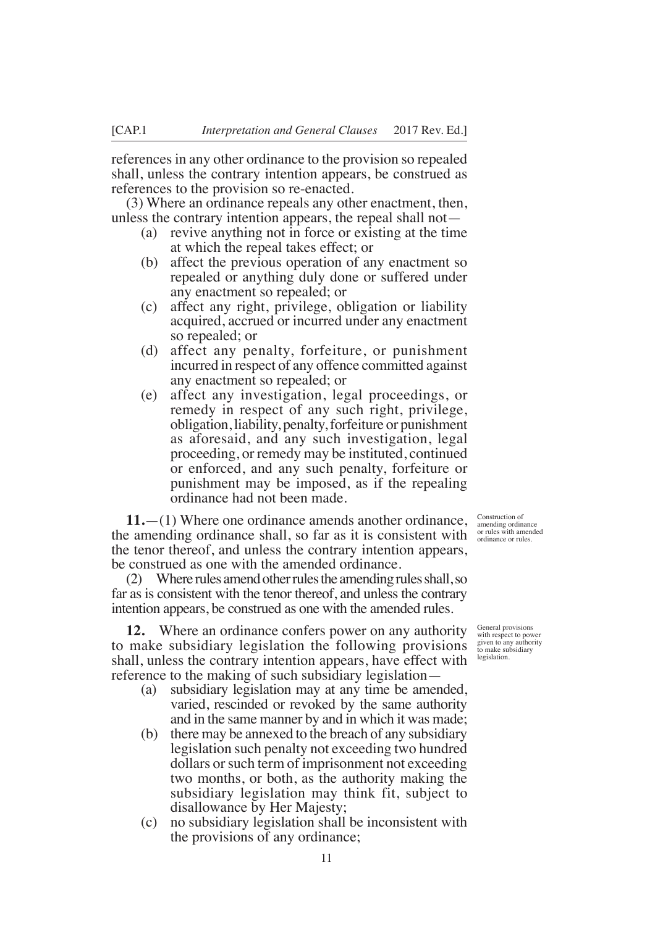references in any other ordinance to the provision so repealed shall, unless the contrary intention appears, be construed as references to the provision so re-enacted.

(3) Where an ordinance repeals any other enactment, then, unless the contrary intention appears, the repeal shall not—

- (a) revive anything not in force or existing at the time at which the repeal takes effect; or
- (b) affect the previous operation of any enactment so repealed or anything duly done or suffered under any enactment so repealed; or
- (c) affect any right, privilege, obligation or liability acquired, accrued or incurred under any enactment so repealed; or
- (d) affect any penalty, forfeiture, or punishment incurred in respect of any offence committed against any enactment so repealed; or
- (e) affect any investigation, legal proceedings, or remedy in respect of any such right, privilege, obligation, liability, penalty, forfeiture or punishment as aforesaid, and any such investigation, legal proceeding, or remedy may be instituted, continued or enforced, and any such penalty, forfeiture or punishment may be imposed, as if the repealing ordinance had not been made.

**11.**—(1) Where one ordinance amends another ordinance, the amending ordinance shall, so far as it is consistent with the tenor thereof, and unless the contrary intention appears, be construed as one with the amended ordinance.

(2) Where rules amend other rules the amending rules shall, so far as is consistent with the tenor thereof, and unless the contrary intention appears, be construed as one with the amended rules.

**12.** Where an ordinance confers power on any authority to make subsidiary legislation the following provisions shall, unless the contrary intention appears, have effect with reference to the making of such subsidiary legislation—

- (a) subsidiary legislation may at any time be amended, varied, rescinded or revoked by the same authority and in the same manner by and in which it was made;
- (b) there may be annexed to the breach of any subsidiary legislation such penalty not exceeding two hundred dollars or such term of imprisonment not exceeding two months, or both, as the authority making the subsidiary legislation may think fit, subject to disallowance by Her Majesty;
- (c) no subsidiary legislation shall be inconsistent with the provisions of any ordinance;

Construction of amending ordinance or rules with amended ordinance or rules.

General provisions with respect to power given to any authority to make subsidiary legislation.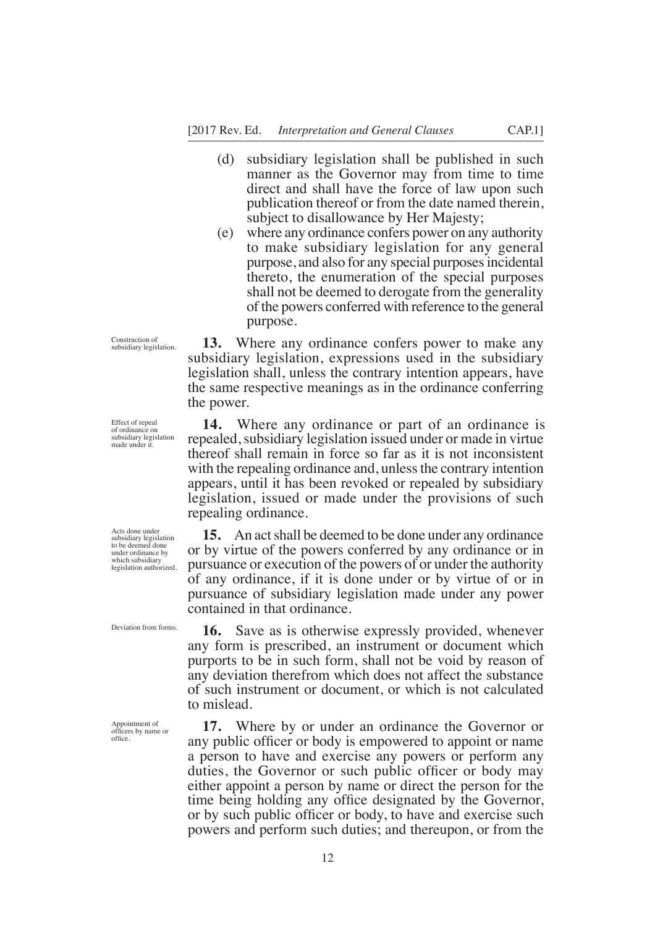- (d) subsidiary legislation shall be published in such manner as the Governor may from time to time direct and shall have the force of law upon such publication thereof or from the date named therein, subject to disallowance by Her Majesty;
- (e) where any ordinance confers power on any authority to make subsidiary legislation for any general purpose, and also for any special purposes incidental thereto, the enumeration of the special purposes shall not be deemed to derogate from the generality of the powers conferred with reference to the general purpose.

**13.** Where any ordinance confers power to make any subsidiary legislation, expressions used in the subsidiary legislation shall, unless the contrary intention appears, have the same respective meanings as in the ordinance conferring the power.

**14.** Where any ordinance or part of an ordinance is repealed, subsidiary legislation issued under or made in virtue thereof shall remain in force so far as it is not inconsistent with the repealing ordinance and, unless the contrary intention appears, until it has been revoked or repealed by subsidiary legislation, issued or made under the provisions of such repealing ordinance.

**15.** An act shall be deemed to be done under any ordinance or by virtue of the powers conferred by any ordinance or in pursuance or execution of the powers of or under the authority of any ordinance, if it is done under or by virtue of or in pursuance of subsidiary legislation made under any power contained in that ordinance.

**16.** Save as is otherwise expressly provided, whenever any form is prescribed, an instrument or document which purports to be in such form, shall not be void by reason of any deviation therefrom which does not affect the substance of such instrument or document, or which is not calculated to mislead.

**17.** Where by or under an ordinance the Governor or any public officer or body is empowered to appoint or name a person to have and exercise any powers or perform any duties, the Governor or such public offcer or body may either appoint a person by name or direct the person for the time being holding any office designated by the Governor, or by such public offcer or body, to have and exercise such powers and perform such duties; and thereupon, or from the

Effect of repeal of ordinance on subsidiary legislation made under it.

Construction of subsidiary legislation.

Acts done under subsidiary legislation to be deemed done under ordinance by which subsidiary legislation authorized.

Deviation from forms.

Appointment of offcers by name or office.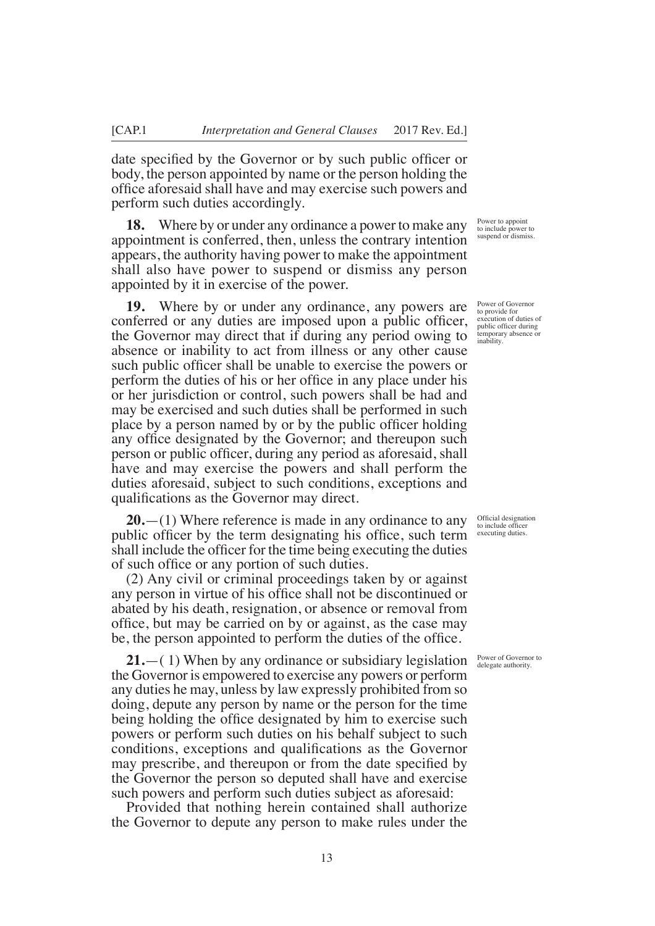date specifed by the Governor or by such public offcer or body, the person appointed by name or the person holding the offce aforesaid shall have and may exercise such powers and perform such duties accordingly.

**18.** Where by or under any ordinance a power to make any appointment is conferred, then, unless the contrary intention appears, the authority having power to make the appointment shall also have power to suspend or dismiss any person appointed by it in exercise of the power.

**19.** Where by or under any ordinance, any powers are conferred or any duties are imposed upon a public officer, the Governor may direct that if during any period owing to absence or inability to act from illness or any other cause such public officer shall be unable to exercise the powers or perform the duties of his or her offce in any place under his or her jurisdiction or control, such powers shall be had and may be exercised and such duties shall be performed in such place by a person named by or by the public officer holding any office designated by the Governor; and thereupon such person or public offcer, during any period as aforesaid, shall have and may exercise the powers and shall perform the duties aforesaid, subject to such conditions, exceptions and qualifcations as the Governor may direct.

**20.**—(1) Where reference is made in any ordinance to any public officer by the term designating his office, such term shall include the officer for the time being executing the duties of such offce or any portion of such duties.

(2) Any civil or criminal proceedings taken by or against any person in virtue of his offce shall not be discontinued or abated by his death, resignation, or absence or removal from office, but may be carried on by or against, as the case may be, the person appointed to perform the duties of the office.

**21.**—( 1) When by any ordinance or subsidiary legislation the Governor is empowered to exercise any powers or perform any duties he may, unless by law expressly prohibited from so doing, depute any person by name or the person for the time being holding the office designated by him to exercise such powers or perform such duties on his behalf subject to such conditions, exceptions and qualifcations as the Governor may prescribe, and thereupon or from the date specifed by the Governor the person so deputed shall have and exercise such powers and perform such duties subject as aforesaid:

Provided that nothing herein contained shall authorize the Governor to depute any person to make rules under the

Power to appoint to include power to suspend or dismiss.

Power of Governor to provide for execution of duties of public offcer during temporary absence or inability.

Official designation to include officer executing duties.

Power of Governor to delegate authority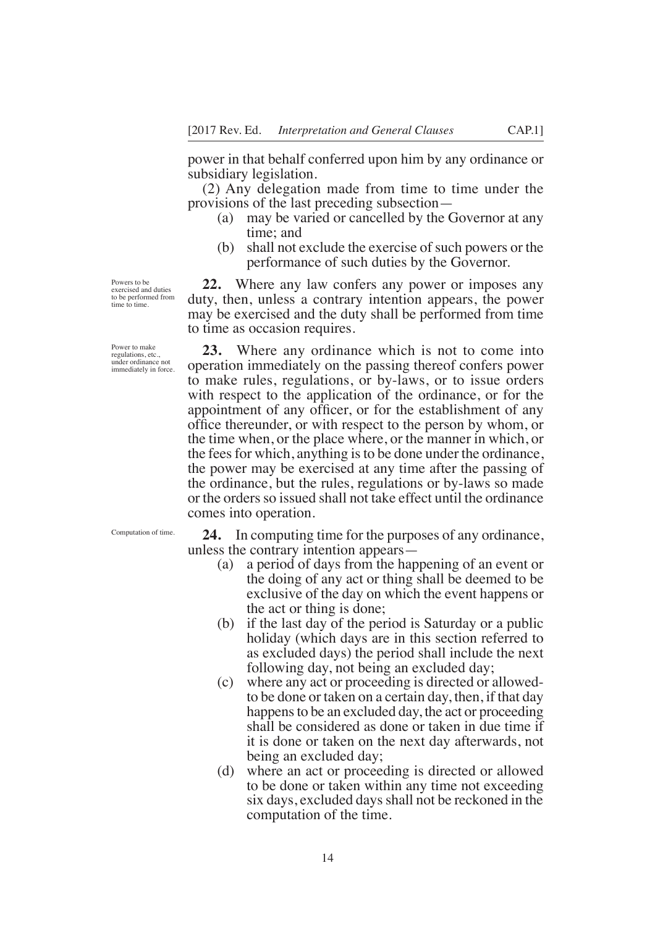power in that behalf conferred upon him by any ordinance or subsidiary legislation.

(2) Any delegation made from time to time under the provisions of the last preceding subsection—

- (a) may be varied or cancelled by the Governor at any time; and
- (b) shall not exclude the exercise of such powers or the performance of such duties by the Governor.

**22.** Where any law confers any power or imposes any duty, then, unless a contrary intention appears, the power may be exercised and the duty shall be performed from time to time as occasion requires.

**23.** Where any ordinance which is not to come into operation immediately on the passing thereof confers power to make rules, regulations, or by-laws, or to issue orders with respect to the application of the ordinance, or for the appointment of any officer, or for the establishment of any offce thereunder, or with respect to the person by whom, or the time when, or the place where, or the manner in which, or the fees for which, anything is to be done under the ordinance, the power may be exercised at any time after the passing of the ordinance, but the rules, regulations or by-laws so made or the orders so issued shall not take effect until the ordinance comes into operation.

Computation of time.

**24.** In computing time for the purposes of any ordinance, unless the contrary intention appears—

- (a) a period of days from the happening of an event or the doing of any act or thing shall be deemed to be exclusive of the day on which the event happens or the act or thing is done;
- (b) if the last day of the period is Saturday or a public holiday (which days are in this section referred to as excluded days) the period shall include the next following day, not being an excluded day;
- (c) where any act or proceeding is directed or allowedto be done or taken on a certain day, then, if that day happens to be an excluded day, the act or proceeding shall be considered as done or taken in due time if it is done or taken on the next day afterwards, not being an excluded day;
- (d) where an act or proceeding is directed or allowed to be done or taken within any time not exceeding six days, excluded days shall not be reckoned in the computation of the time.

Powers to be exercised and duties to be performed from time to time.

Power to make regulations, etc. under ordinance not immediately in force.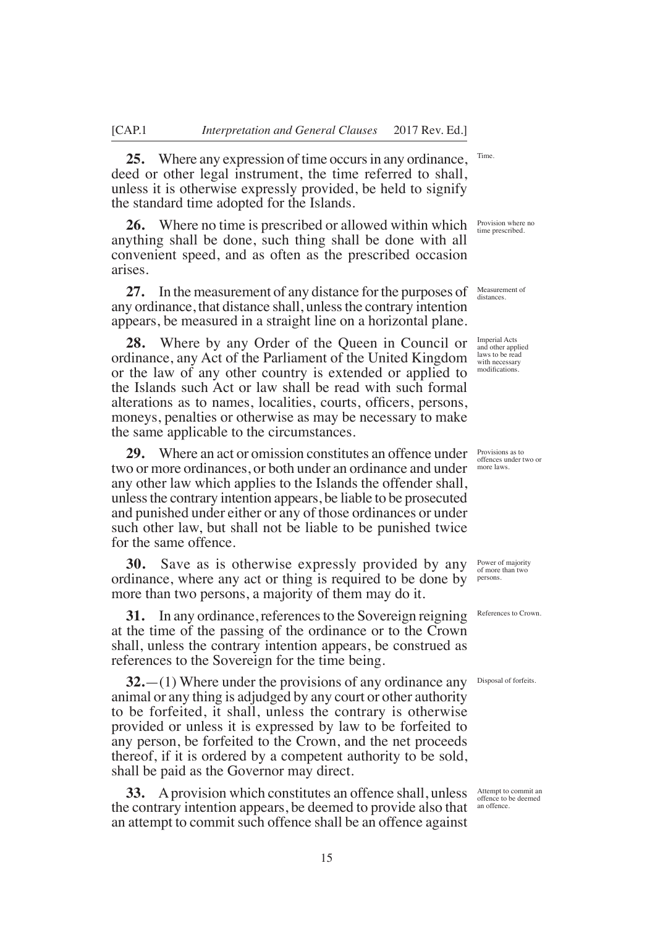**25.** Where any expression of time occurs in any ordinance, deed or other legal instrument, the time referred to shall, unless it is otherwise expressly provided, be held to signify the standard time adopted for the Islands.

**26.** Where no time is prescribed or allowed within which anything shall be done, such thing shall be done with all convenient speed, and as often as the prescribed occasion arises.

**27.** In the measurement of any distance for the purposes of any ordinance, that distance shall, unless the contrary intention appears, be measured in a straight line on a horizontal plane.

**28.** Where by any Order of the Queen in Council or ordinance, any Act of the Parliament of the United Kingdom or the law of any other country is extended or applied to the Islands such Act or law shall be read with such formal alterations as to names, localities, courts, officers, persons, moneys, penalties or otherwise as may be necessary to make the same applicable to the circumstances.

**29.** Where an act or omission constitutes an offence under two or more ordinances, or both under an ordinance and under any other law which applies to the Islands the offender shall, unless the contrary intention appears, be liable to be prosecuted and punished under either or any of those ordinances or under such other law, but shall not be liable to be punished twice for the same offence.

**30.** Save as is otherwise expressly provided by any ordinance, where any act or thing is required to be done by more than two persons, a majority of them may do it.

**31.** In any ordinance, references to the Sovereign reigning at the time of the passing of the ordinance or to the Crown shall, unless the contrary intention appears, be construed as references to the Sovereign for the time being.

**32.**—(1) Where under the provisions of any ordinance any animal or any thing is adjudged by any court or other authority to be forfeited, it shall, unless the contrary is otherwise provided or unless it is expressed by law to be forfeited to any person, be forfeited to the Crown, and the net proceeds thereof, if it is ordered by a competent authority to be sold, shall be paid as the Governor may direct.

**33.** A provision which constitutes an offence shall, unless the contrary intention appears, be deemed to provide also that an attempt to commit such offence shall be an offence against

Provision where no time prescribed.

Time.

Measurement of distances.

Imperial Acts and other applied laws to be read with necessary modifcations.

Provisions as to offences under two or more laws.

Power of majority of more than two persons.

References to Crown.

Disposal of forfeits.

Attempt to commit an offence to be deemed an offence.